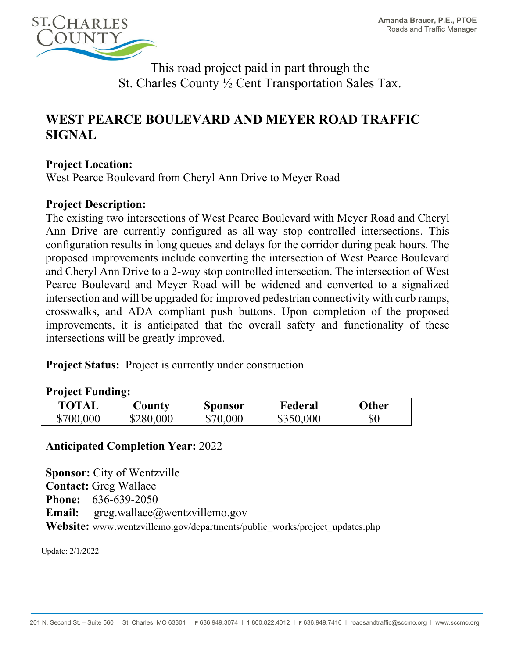

This road project paid in part through the St. Charles County ½ Cent Transportation Sales Tax.

# **WEST PEARCE BOULEVARD AND MEYER ROAD TRAFFIC SIGNAL**

## **Project Location:**

West Pearce Boulevard from Cheryl Ann Drive to Meyer Road

## **Project Description:**

The existing two intersections of West Pearce Boulevard with Meyer Road and Cheryl Ann Drive are currently configured as all-way stop controlled intersections. This configuration results in long queues and delays for the corridor during peak hours. The proposed improvements include converting the intersection of West Pearce Boulevard and Cheryl Ann Drive to a 2-way stop controlled intersection. The intersection of West Pearce Boulevard and Meyer Road will be widened and converted to a signalized intersection and will be upgraded for improved pedestrian connectivity with curb ramps, crosswalks, and ADA compliant push buttons. Upon completion of the proposed improvements, it is anticipated that the overall safety and functionality of these intersections will be greatly improved.

**Project Status:** Project is currently under construction

## **Project Funding:**

| TOTAL     | $\mathbf$ County | <b>Sponsor</b> | Federal   | Other |
|-----------|------------------|----------------|-----------|-------|
| \$700,000 | \$280,000        | \$70,000       | \$350,000 | \$0   |

## **Anticipated Completion Year:** 2022

**Sponsor:** City of Wentzville **Contact:** Greg Wallace **Phone:** 636-639-2050 **Email:** greg.wallace@wentzvillemo.gov Website: www.wentzvillemo.gov/departments/public\_works/project\_updates.php

Update: 2/1/2022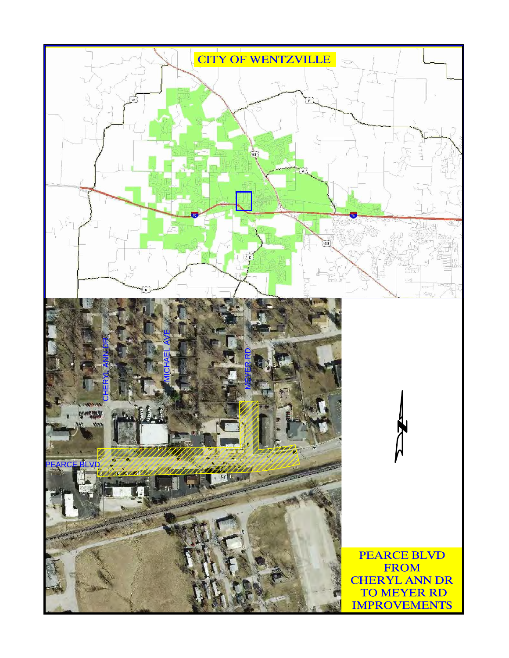